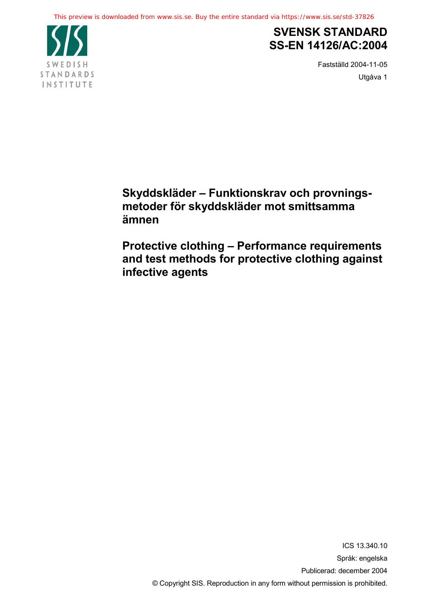

## **SVENSK STANDARD SS-EN 14126/AC:2004**

Fastställd 2004-11-05 Utgåva 1

**Skyddskläder – Funktionskrav och provningsmetoder för skyddskläder mot smittsamma ämnen**

**Protective clothing – Performance requirements and test methods for protective clothing against infective agents**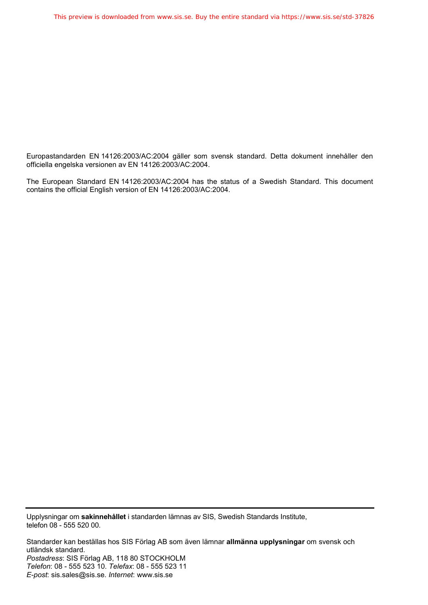Europastandarden EN 14126:2003/AC:2004 gäller som svensk standard. Detta dokument innehåller den officiella engelska versionen av EN 14126:2003/AC:2004.

The European Standard EN 14126:2003/AC:2004 has the status of a Swedish Standard. This document contains the official English version of EN 14126:2003/AC:2004.

Upplysningar om **sakinnehållet** i standarden lämnas av SIS, Swedish Standards Institute, telefon 08 - 555 520 00.

Standarder kan beställas hos SIS Förlag AB som även lämnar **allmänna upplysningar** om svensk och utländsk standard. *Postadress*: SIS Förlag AB, 118 80 STOCKHOLM *Telefon*: 08 - 555 523 10. *Telefax*: 08 - 555 523 11 *E-post*: sis.sales@sis.se. *Internet*: www.sis.se